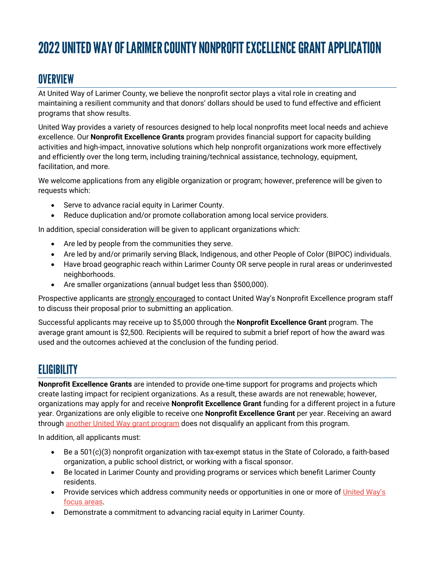# 2022UNITED WAY OF LARIMER COUNTY NONPROFIT EXCELLENCE GRANT APPLICATION

# **OVERVIEW**

At United Way of Larimer County, we believe the nonprofit sector plays a vital role in creating and maintaining a resilient community and that donors' dollars should be used to fund effective and efficient programs that show results.

United Way provides a variety of resources designed to help local nonprofits meet local needs and achieve excellence. Our **Nonprofit Excellence Grants** program provides financial support for capacity building activities and high-impact, innovative solutions which help nonprofit organizations work more effectively and efficiently over the long term, including training/technical assistance, technology, equipment, facilitation, and more.

We welcome applications from any eligible organization or program; however, preference will be given to requests which:

- Serve to advance racial equity in Larimer County.
- Reduce duplication and/or promote collaboration among local service providers.

In addition, special consideration will be given to applicant organizations which:

- Are led by people from the communities they serve.
- Are led by and/or primarily serving Black, Indigenous, and other People of Color (BIPOC) individuals.
- Have broad geographic reach within Larimer County OR serve people in rural areas or underinvested neighborhoods.
- Are smaller organizations (annual budget less than \$500,000).

Prospective applicants are strongly encouraged to contact United Way's Nonprofit Excellence program staff to discuss their proposal prior to submitting an application.

Successful applicants may receive up to \$5,000 through the **Nonprofit Excellence Grant** program. The average grant amount is \$2,500. Recipients will be required to submit a brief report of how the award was used and the outcomes achieved at the conclusion of the funding period.

# **ELIGIBILITY**

**Nonprofit Excellence Grants** are intended to provide one-time support for programs and projects which create lasting impact for recipient organizations. As a result, these awards are not renewable; however, organizations may apply for and receive **Nonprofit Excellence Grant** funding for a different project in a future year. Organizations are only eligible to receive one **Nonprofit Excellence Grant** per year. Receiving an award through another United Way grant program does not disqualify an applicant from this program.

In addition, all applicants must:

- Be a 501(c)(3) nonprofit organization with tax-exempt status in the State of Colorado, a faith-based organization, a public school district, or working with a fiscal sponsor.
- Be located in Larimer County and providing programs or services which benefit Larimer County residents.
- Provide services which address community needs or opportunities in one or more of United Way's focus areas.
- Demonstrate a commitment to advancing racial equity in Larimer County.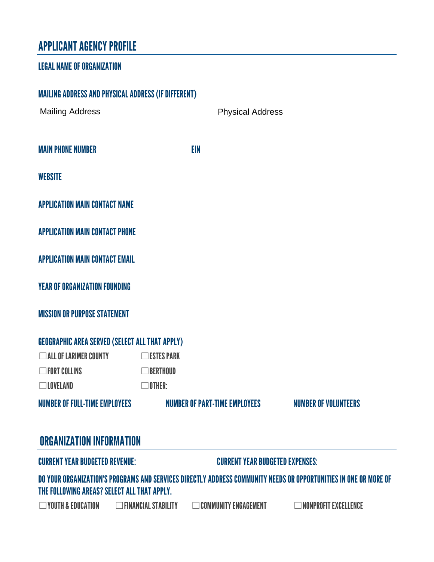# APPLICANT AGENCY PROFILE

#### LEGAL NAME OF ORGANIZATION

| NUMBER OF FULL-TIME EMPLOYEES                              |                      | NUMBER OF PART-TIME EMPLOYEES | <b>NUMBER OF VOLUNTEERS</b> |
|------------------------------------------------------------|----------------------|-------------------------------|-----------------------------|
| $\Box$ LOVELAND                                            | $\Box$ Other:        |                               |                             |
| $\Box$ FORT COLLINS                                        | $\Box$ BERTHOUD      |                               |                             |
| ALL OF LARIMER COUNTY                                      | $\square$ ESTES PARK |                               |                             |
| <b>GEOGRAPHIC AREA SERVED (SELECT ALL THAT APPLY)</b>      |                      |                               |                             |
| <b>MISSION OR PURPOSE STATEMENT</b>                        |                      |                               |                             |
| <b>YEAR OF ORGANIZATION FOUNDING</b>                       |                      |                               |                             |
| <b>APPLICATION MAIN CONTACT EMAIL</b>                      |                      |                               |                             |
| <b>APPLICATION MAIN CONTACT PHONE</b>                      |                      |                               |                             |
| <b>APPLICATION MAIN CONTACT NAME</b>                       |                      |                               |                             |
| <b>WEBSITE</b>                                             |                      |                               |                             |
| <b>MAIN PHONE NUMBER</b>                                   | <b>EIN</b>           |                               |                             |
| <b>Mailing Address</b>                                     |                      | <b>Physical Address</b>       |                             |
| <b>MAILING ADDRESS AND PHYSICAL ADDRESS (IF DIFFERENT)</b> |                      |                               |                             |

### ORGANIZATION INFORMATION

CURRENT YEAR BUDGETED REVENUE: CURRENT YEAR BUDGETED EXPENSES:

DO YOUR ORGANIZATION'S PROGRAMS AND SERVICES DIRECTLY ADDRESS COMMUNITY NEEDS OR OPPORTUNITIES IN ONE OR MORE OF THE FOLLOWING AREAS? SELECT ALL THAT APPLY.

☐YOUTH & EDUCATION ☐FINANCIAL STABILITY ☐COMMUNITY ENGAGEMENT ☐NONPROFIT EXCELLENCE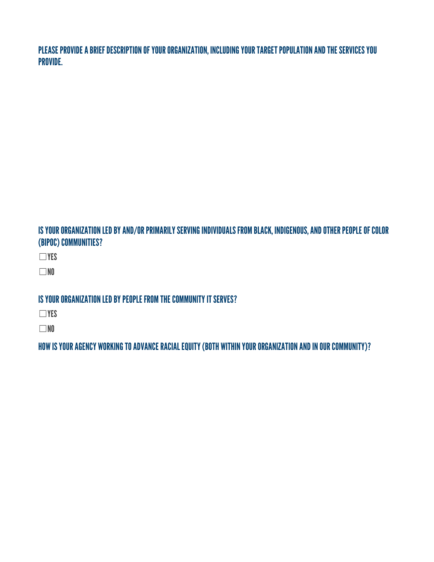PLEASE PROVIDE A BRIEF DESCRIPTION OF YOUR ORGANIZATION, INCLUDING YOUR TARGET POPULATION AND THE SERVICES YOU PROVIDE.

### IS YOUR ORGANIZATION LED BY AND/OR PRIMARILY SERVING INDIVIDUALS FROM BLACK, INDIGENOUS, AND OTHER PEOPLE OF COLOR (BIPOC) COMMUNITIES?

☐YES

☐NO

### IS YOUR ORGANIZATION LED BY PEOPLE FROM THE COMMUNITY IT SERVES?

☐YES

☐NO

HOW IS YOUR AGENCY WORKING TO ADVANCE RACIAL EQUITY(BOTH WITHIN YOUR ORGANIZATION AND IN OUR COMMUNITY)?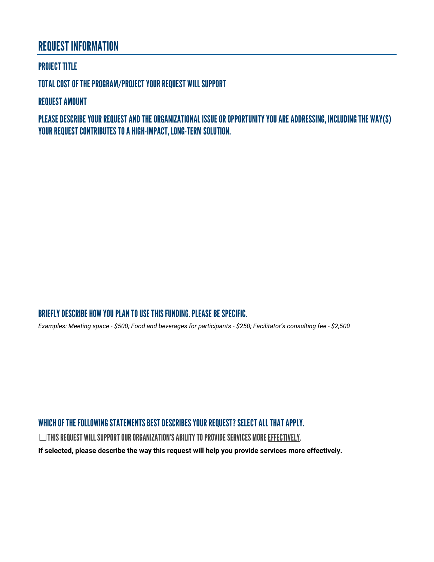### REQUEST INFORMATION

#### PROJECT TITLE

TOTAL COST OF THE PROGRAM/PROJECTYOUR REQUEST WILL SUPPORT

REQUEST AMOUNT

PLEASE DESCRIBEYOUR REQUESTAND THE ORGANIZATIONAL ISSUE OR OPPORTUNITY YOU ARE ADDRESSING, INCLUDING THE WAY(S) YOUR REQUEST CONTRIBUTES TO A HIGH-IMPACT, LONG-TERM SOLUTION.

#### BRIEFLY DESCRIBE HOW YOU PLAN TO USE THIS FUNDING. PLEASE BE SPECIFIC.

*Examples: Meeting space - \$500; Food and beverages for participants - \$250; Facilitator's consulting fee - \$2,500*

#### WHICH OF THE FOLLOWING STATEMENTS BEST DESCRIBES YOUR REQUEST? SELECT ALL THAT APPLY.

 $\Box$ This request will support our organization's ability to provide services more effectively.

**If selected, please describe the way this request will help you provide services more effectively.**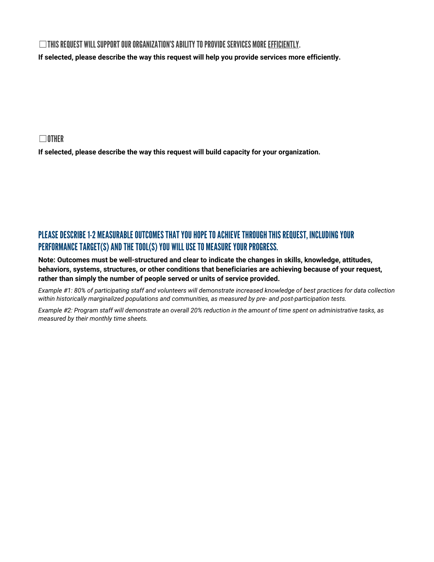#### $\Box$ This request will support our organization's ability to provide services more efficiently.

**If selected, please describe the way this request will help you provide services more efficiently.** 

☐OTHER

**If selected, please describe the way this request will build capacity for your organization.** 

### PLEASE DESCRIBE 1-2 MEASURABLE OUTCOMES THAT YOU HOPE TO ACHIEVE THROUGH THIS REQUEST, INCLUDING YOUR PERFORMANCE TARGET(S) AND THE TOOL(S) YOU WILL USE TO MEASURE YOUR PROGRESS.

**Note: Outcomes must be well-structured and clear to indicate the changes in skills, knowledge, attitudes, behaviors, systems, structures, or other conditions that beneficiaries are achieving because of your request, rather than simply the number of people served or units of service provided.**

*Example #1: 80% of participating staff and volunteers will demonstrate increased knowledge of best practices for data collection within historically marginalized populations and communities, as measured by pre- and post-participation tests.* 

*Example #2: Program staff will demonstrate an overall 20% reduction in the amount of time spent on administrative tasks, as measured by their monthly time sheets.*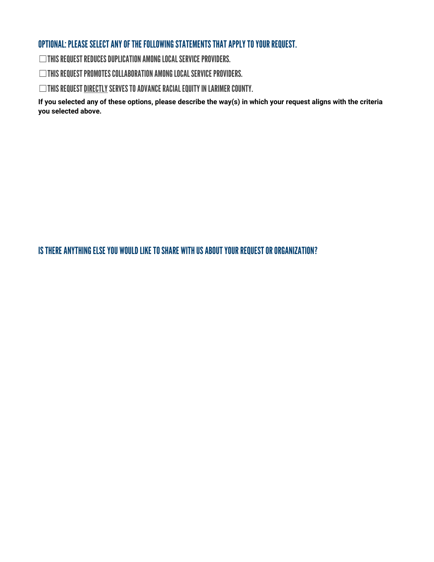#### OPTIONAL: PLEASE SELECT ANY OF THE FOLLOWING STATEMENTS THAT APPLY TO YOUR REQUEST.

 $\Box$ THIS REQUEST REDUCES DUPLICATION AMONG LOCAL SERVICE PROVIDERS.

☐THIS REQUEST PROMOTES COLLABORATION AMONG LOCAL SERVICE PROVIDERS.

◯THIS REQUEST <u>DIRECTLY</u> SERVES TO ADVANCE RACIAL EQUITY IN LARIMER COUNTY.

**If you selected any of these options, please describe the way(s) in which your request aligns with the criteria you selected above.** 

IS THERE ANYTHING ELSE YOU WOULD LIKE TO SHARE WITH US ABOUT YOUR REQUESTOR ORGANIZATION?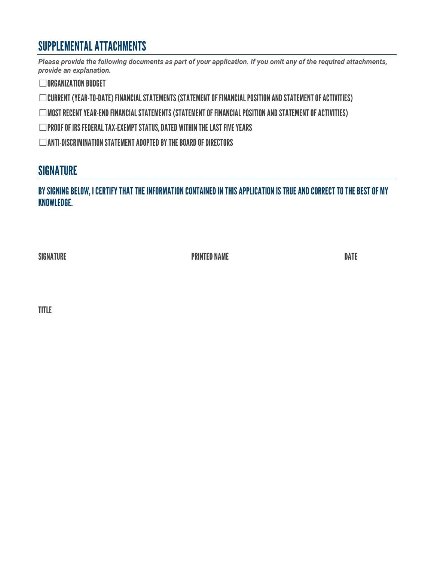# SUPPLEMENTAL ATTACHMENTS

*Please provide the following documents as part of your application. If you omit any of the required attachments, provide an explanation.*

**□ORGANIZATION BUDGET** 

☐CURRENT (YEAR-TO-DATE) FINANCIAL STATEMENTS (STATEMENT OF FINANCIAL POSITION AND STATEMENT OF ACTIVITIES)

☐MOST RECENT YEAR-END FINANCIAL STATEMENTS(STATEMENT OF FINANCIAL POSITION AND STATEMENT OF ACTIVITIES)

☐PROOF OF IRS FEDERAL TAX-EXEMPT STATUS, DATED WITHIN THE LAST FIVE YEARS

 $\Box$ ANTI-DISCRIMINATION STATEMENT ADOPTED BY THE BOARD OF DIRECTORS

### **SIGNATURE**

BY SIGNING BELOW, I CERTIFY THAT THE INFORMATION CONTAINED IN THIS APPLICATION IS TRUE AND CORRECT TO THE BEST OF MY KNOWLEDGE.

SIGNATURE DATE DATE PRINTED NAME

TITLE